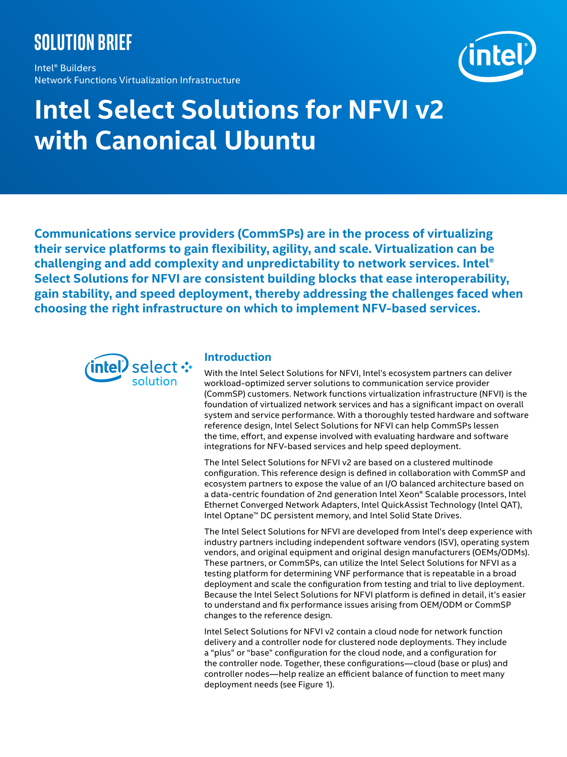# **Solution brief**

Intel® Builders Network Functions Virtualization Infrastructure



# **Intel Select Solutions for NFVI v2 with Canonical Ubuntu**

**Communications service providers (CommSPs) are in the process of virtualizing their service platforms to gain flexibility, agility, and scale. Virtualization can be challenging and add complexity and unpredictability to network services. Intel® Select Solutions for NFVI are consistent building blocks that ease interoperability, gain stability, and speed deployment, thereby addressing the challenges faced when choosing the right infrastructure on which to implement NFV-based services.** 



# **Introduction**

With the Intel Select Solutions for NFVI, Intel's ecosystem partners can deliver workload-optimized server solutions to communication service provider (CommSP) customers. Network functions virtualization infrastructure (NFVI) is the foundation of virtualized network services and has a significant impact on overall system and service performance. With a thoroughly tested hardware and software reference design, Intel Select Solutions for NFVI can help CommSPs lessen the time, effort, and expense involved with evaluating hardware and software integrations for NFV-based services and help speed deployment.

The Intel Select Solutions for NFVI v2 are based on a clustered multinode configuration. This reference design is defined in collaboration with CommSP and ecosystem partners to expose the value of an I/O balanced architecture based on a data-centric foundation of 2nd generation Intel Xeon® Scalable processors, Intel Ethernet Converged Network Adapters, Intel QuickAssist Technology (Intel QAT), Intel Optane™ DC persistent memory, and Intel Solid State Drives.

The Intel Select Solutions for NFVI are developed from Intel's deep experience with industry partners including independent software vendors (ISV), operating system vendors, and original equipment and original design manufacturers (OEMs/ODMs). These partners, or CommSPs, can utilize the Intel Select Solutions for NFVI as a testing platform for determining VNF performance that is repeatable in a broad deployment and scale the configuration from testing and trial to live deployment. Because the Intel Select Solutions for NFVI platform is defined in detail, it's easier to understand and fix performance issues arising from OEM/ODM or CommSP changes to the reference design.

Intel Select Solutions for NFVI v2 contain a cloud node for network function delivery and a controller node for clustered node deployments. They include a "plus" or "base" configuration for the cloud node, and a configuration for the controller node. Together, these configurations—cloud (base or plus) and controller nodes—help realize an efficient balance of function to meet many deployment needs (see Figure 1).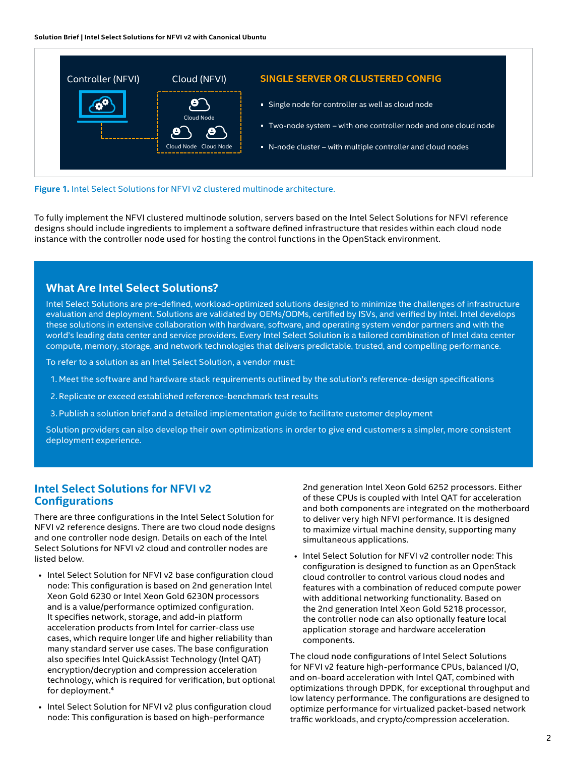

#### **Figure 1.** Intel Select Solutions for NFVI v2 clustered multinode architecture.

To fully implement the NFVI clustered multinode solution, servers based on the Intel Select Solutions for NFVI reference designs should include ingredients to implement a software defined infrastructure that resides within each cloud node instance with the controller node used for hosting the control functions in the OpenStack environment.

#### **What Are Intel Select Solutions?**

Intel Select Solutions are pre-defined, workload-optimized solutions designed to minimize the challenges of infrastructure evaluation and deployment. Solutions are validated by OEMs/ODMs, certified by ISVs, and verified by Intel. Intel develops these solutions in extensive collaboration with hardware, software, and operating system vendor partners and with the world's leading data center and service providers. Every Intel Select Solution is a tailored combination of Intel data center compute, memory, storage, and network technologies that delivers predictable, trusted, and compelling performance.

To refer to a solution as an Intel Select Solution, a vendor must:

- 1. Meet the software and hardware stack requirements outlined by the solution's reference-design specifications
- 2. Replicate or exceed established reference-benchmark test results
- 3. Publish a solution brief and a detailed implementation guide to facilitate customer deployment

Solution providers can also develop their own optimizations in order to give end customers a simpler, more consistent deployment experience.

# **Intel Select Solutions for NFVI v2 Configurations**

There are three configurations in the Intel Select Solution for NFVI v2 reference designs. There are two cloud node designs and one controller node design. Details on each of the Intel Select Solutions for NFVI v2 cloud and controller nodes are listed below.

- Intel Select Solution for NFVI v2 base configuration cloud node: This configuration is based on 2nd generation Intel Xeon Gold 6230 or Intel Xeon Gold 6230N processors and is a value/performance optimized configuration. It specifies network, storage, and add-in platform acceleration products from Intel for carrier-class use cases, which require longer life and higher reliability than many standard server use cases. The base configuration also specifies Intel QuickAssist Technology (Intel QAT) encryption/decryption and compression acceleration technology, which is required for verification, but optional for deployment.<sup>4</sup>
- Intel Select Solution for NFVI v2 plus configuration cloud node: This configuration is based on high-performance

2nd generation Intel Xeon Gold 6252 processors. Either of these CPUs is coupled with Intel QAT for acceleration and both components are integrated on the motherboard to deliver very high NFVI performance. It is designed to maximize virtual machine density, supporting many simultaneous applications.

• Intel Select Solution for NFVI v2 controller node: This configuration is designed to function as an OpenStack cloud controller to control various cloud nodes and features with a combination of reduced compute power with additional networking functionality. Based on the 2nd generation Intel Xeon Gold 5218 processor, the controller node can also optionally feature local application storage and hardware acceleration components.

The cloud node configurations of Intel Select Solutions for NFVI v2 feature high-performance CPUs, balanced I/O, and on-board acceleration with Intel QAT, combined with optimizations through DPDK, for exceptional throughput and low latency performance. The configurations are designed to optimize performance for virtualized packet-based network traffic workloads, and crypto/compression acceleration.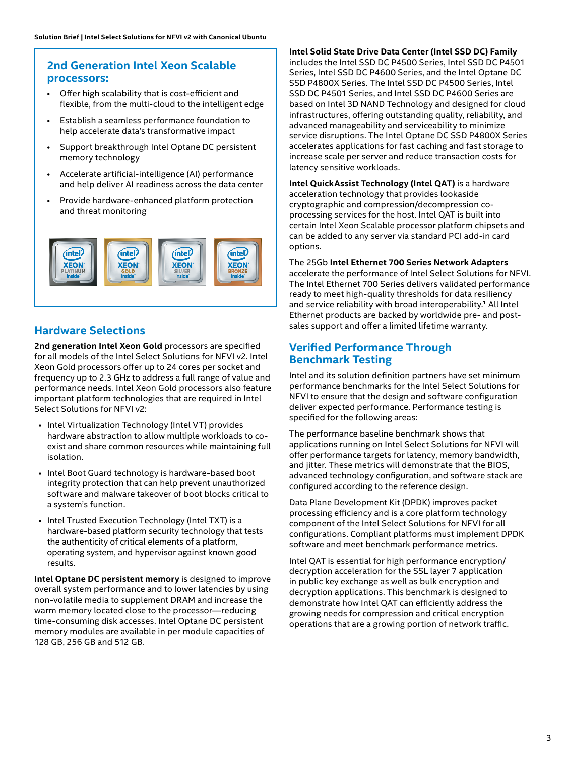# **2nd Generation Intel Xeon Scalable processors:**

- Offer high scalability that is cost-efficient and flexible, from the multi-cloud to the intelligent edge
- Establish a seamless performance foundation to help accelerate data's transformative impact
- Support breakthrough Intel Optane DC persistent memory technology
- Accelerate artificial-intelligence (AI) performance and help deliver AI readiness across the data center
- Provide hardware-enhanced platform protection and threat monitoring



# **Hardware Selections**

**2nd generation Intel Xeon Gold** processors are specified for all models of the Intel Select Solutions for NFVI v2. Intel Xeon Gold processors offer up to 24 cores per socket and frequency up to 2.3 GHz to address a full range of value and performance needs. Intel Xeon Gold processors also feature important platform technologies that are required in Intel Select Solutions for NFVI v2:

- Intel Virtualization Technology (Intel VT) provides hardware abstraction to allow multiple workloads to coexist and share common resources while maintaining full isolation.
- Intel Boot Guard technology is hardware-based boot integrity protection that can help prevent unauthorized software and malware takeover of boot blocks critical to a system's function.
- Intel Trusted Execution Technology (Intel TXT) is a hardware-based platform security technology that tests the authenticity of critical elements of a platform, operating system, and hypervisor against known good results.

**Intel Optane DC persistent memory** is designed to improve overall system performance and to lower latencies by using non-volatile media to supplement DRAM and increase the warm memory located close to the processor—reducing time-consuming disk accesses. Intel Optane DC persistent memory modules are available in per module capacities of 128 GB, 256 GB and 512 GB.

#### **Intel Solid State Drive Data Center (Intel SSD DC) Family**

includes the Intel SSD DC P4500 Series, Intel SSD DC P4501 Series, Intel SSD DC P4600 Series, and the Intel Optane DC SSD P4800X Series. The Intel SSD DC P4500 Series, Intel SSD DC P4501 Series, and Intel SSD DC P4600 Series are based on Intel 3D NAND Technology and designed for cloud infrastructures, offering outstanding quality, reliability, and advanced manageability and serviceability to minimize service disruptions. The Intel Optane DC SSD P4800X Series accelerates applications for fast caching and fast storage to increase scale per server and reduce transaction costs for latency sensitive workloads.

**Intel QuickAssist Technology (Intel QAT)** is a hardware acceleration technology that provides lookaside cryptographic and compression/decompression coprocessing services for the host. Intel QAT is built into certain Intel Xeon Scalable processor platform chipsets and can be added to any server via standard PCI add-in card options.

#### The 25Gb **Intel Ethernet 700 Series Network Adapters**

accelerate the performance of Intel Select Solutions for NFVI. The Intel Ethernet 700 Series delivers validated performance ready to meet high-quality thresholds for data resiliency and service reliability with broad interoperability.<sup>1</sup> All Intel Ethernet products are backed by worldwide pre- and postsales support and offer a limited lifetime warranty.

# **Verified Performance Through Benchmark Testing**

Intel and its solution definition partners have set minimum performance benchmarks for the Intel Select Solutions for NFVI to ensure that the design and software configuration deliver expected performance. Performance testing is specified for the following areas:

The performance baseline benchmark shows that applications running on Intel Select Solutions for NFVI will offer performance targets for latency, memory bandwidth, and jitter. These metrics will demonstrate that the BIOS, advanced technology configuration, and software stack are configured according to the reference design.

Data Plane Development Kit (DPDK) improves packet processing efficiency and is a core platform technology component of the Intel Select Solutions for NFVI for all configurations. Compliant platforms must implement DPDK software and meet benchmark performance metrics.

Intel QAT is essential for high performance encryption/ decryption acceleration for the SSL layer 7 application in public key exchange as well as bulk encryption and decryption applications. This benchmark is designed to demonstrate how Intel QAT can efficiently address the growing needs for compression and critical encryption operations that are a growing portion of network traffic.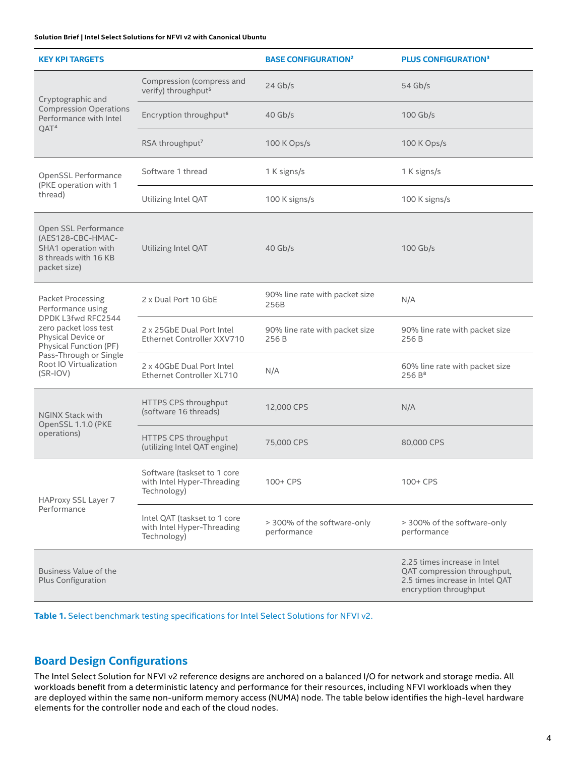#### **Solution Brief | Intel Select Solutions for NFVI v2 with Canonical Ubuntu**

| <b>KEY KPI TARGETS</b>                                                                                                                                                                                  |                                                                           | <b>BASE CONFIGURATION<sup>2</sup></b>      | <b>PLUS CONFIGURATION3</b>                                                                                              |
|---------------------------------------------------------------------------------------------------------------------------------------------------------------------------------------------------------|---------------------------------------------------------------------------|--------------------------------------------|-------------------------------------------------------------------------------------------------------------------------|
| Cryptographic and<br><b>Compression Operations</b><br>Performance with Intel<br>QAT <sup>4</sup>                                                                                                        | Compression (compress and<br>verify) throughput <sup>5</sup>              | $24$ Gb/s                                  | $54$ Gb/s                                                                                                               |
|                                                                                                                                                                                                         | Encryption throughput <sup>6</sup>                                        | $40$ Gb/s                                  | $100$ Gb/s                                                                                                              |
|                                                                                                                                                                                                         | RSA throughput <sup>7</sup>                                               | 100 K Ops/s                                | 100 K Ops/s                                                                                                             |
| OpenSSL Performance<br>(PKE operation with 1<br>thread)                                                                                                                                                 | Software 1 thread                                                         | 1 K signs/s                                | 1 K signs/s                                                                                                             |
|                                                                                                                                                                                                         | Utilizing Intel QAT                                                       | 100 K signs/s                              | 100 K signs/s                                                                                                           |
| Open SSL Performance<br>(AES128-CBC-HMAC-<br>SHA1 operation with<br>8 threads with 16 KB<br>packet size)                                                                                                | Utilizing Intel QAT                                                       | $40$ Gb/s                                  | 100 Gb/s                                                                                                                |
| Packet Processing<br>Performance using<br>DPDK L3fwd RFC2544<br>zero packet loss test<br>Physical Device or<br>Physical Function (PF)<br>Pass-Through or Single<br>Root IO Virtualization<br>$(SR-IOV)$ | 2 x Dual Port 10 GbE                                                      | 90% line rate with packet size<br>256B     | N/A                                                                                                                     |
|                                                                                                                                                                                                         | 2 x 25GbE Dual Port Intel<br>Ethernet Controller XXV710                   | 90% line rate with packet size<br>256 B    | 90% line rate with packet size<br>256 B                                                                                 |
|                                                                                                                                                                                                         | 2 x 40GbE Dual Port Intel<br>Ethernet Controller XL710                    | N/A                                        | 60% line rate with packet size<br>256B <sup>8</sup>                                                                     |
| <b>NGINX Stack with</b><br>OpenSSL 1.1.0 (PKE<br>operations)                                                                                                                                            | HTTPS CPS throughput<br>(software 16 threads)                             | 12,000 CPS                                 | N/A                                                                                                                     |
|                                                                                                                                                                                                         | HTTPS CPS throughput<br>(utilizing Intel QAT engine)                      | 75,000 CPS                                 | 80,000 CPS                                                                                                              |
| HAProxy SSL Layer 7<br>Performance                                                                                                                                                                      | Software (taskset to 1 core<br>with Intel Hyper-Threading<br>Technology)  | 100+ CPS                                   | 100+ CPS                                                                                                                |
|                                                                                                                                                                                                         | Intel QAT (taskset to 1 core<br>with Intel Hyper-Threading<br>Technology) | > 300% of the software-only<br>performance | > 300% of the software-only<br>performance                                                                              |
| Business Value of the<br>Plus Configuration                                                                                                                                                             |                                                                           |                                            | 2.25 times increase in Intel<br>QAT compression throughput,<br>2.5 times increase in Intel QAT<br>encryption throughput |

**Table 1.** Select benchmark testing specifications for Intel Select Solutions for NFVI v2.

# **Board Design Configurations**

The Intel Select Solution for NFVI v2 reference designs are anchored on a balanced I/O for network and storage media. All workloads benefit from a deterministic latency and performance for their resources, including NFVI workloads when they are deployed within the same non-uniform memory access (NUMA) node. The table below identifies the high-level hardware elements for the controller node and each of the cloud nodes.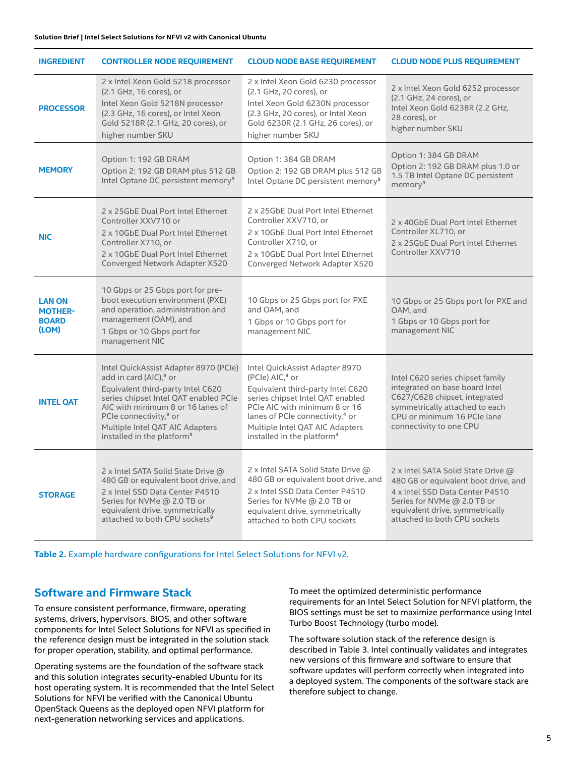| <b>INGREDIENT</b>                                        | <b>CONTROLLER NODE REQUIREMENT</b>                                                                                                                                                                                                                                                                                | <b>CLOUD NODE BASE REQUIREMENT</b>                                                                                                                                                                                                                                                                  | <b>CLOUD NODE PLUS REQUIREMENT</b>                                                                                                                                                                              |
|----------------------------------------------------------|-------------------------------------------------------------------------------------------------------------------------------------------------------------------------------------------------------------------------------------------------------------------------------------------------------------------|-----------------------------------------------------------------------------------------------------------------------------------------------------------------------------------------------------------------------------------------------------------------------------------------------------|-----------------------------------------------------------------------------------------------------------------------------------------------------------------------------------------------------------------|
| <b>PROCESSOR</b>                                         | 2 x Intel Xeon Gold 5218 processor<br>(2.1 GHz, 16 cores), or<br>Intel Xeon Gold 5218N processor<br>(2.3 GHz, 16 cores), or Intel Xeon<br>Gold 5218R (2.1 GHz, 20 cores), or<br>higher number SKU                                                                                                                 | 2 x Intel Xeon Gold 6230 processor<br>(2.1 GHz, 20 cores), or<br>Intel Xeon Gold 6230N processor<br>(2.3 GHz, 20 cores), or Intel Xeon<br>Gold 6230R (2.1 GHz, 26 cores), or<br>higher number SKU                                                                                                   | 2 x Intel Xeon Gold 6252 processor<br>(2.1 GHz, 24 cores), or<br>Intel Xeon Gold 6238R (2.2 GHz,<br>28 cores), or<br>higher number SKU                                                                          |
| <b>MEMORY</b>                                            | Option 1: 192 GB DRAM<br>Option 2: 192 GB DRAM plus 512 GB<br>Intel Optane DC persistent memory <sup>9</sup>                                                                                                                                                                                                      | Option 1: 384 GB DRAM<br>Option 2: 192 GB DRAM plus 512 GB<br>Intel Optane DC persistent memory <sup>9</sup>                                                                                                                                                                                        | Option 1: 384 GB DRAM<br>Option 2: 192 GB DRAM plus 1.0 or<br>1.5 TB Intel Optane DC persistent<br>memory <sup>9</sup>                                                                                          |
| <b>NIC</b>                                               | 2 x 25GbE Dual Port Intel Ethernet<br>Controller XXV710 or<br>2 x 10GbE Dual Port Intel Ethernet<br>Controller X710, or<br>2 x 10GbE Dual Port Intel Ethernet<br>Converged Network Adapter X520                                                                                                                   | 2 x 25GbE Dual Port Intel Ethernet<br>Controller XXV710, or<br>2 x 10GbE Dual Port Intel Ethernet<br>Controller X710, or<br>2 x 10GbE Dual Port Intel Ethernet<br>Converged Network Adapter X520                                                                                                    | 2 x 40GbE Dual Port Intel Ethernet<br>Controller XL710, or<br>2 x 25GbE Dual Port Intel Ethernet<br>Controller XXV710                                                                                           |
| <b>LAN ON</b><br><b>MOTHER-</b><br><b>BOARD</b><br>(LOM) | 10 Gbps or 25 Gbps port for pre-<br>boot execution environment (PXE)<br>and operation, administration and<br>management (OAM), and<br>1 Gbps or 10 Gbps port for<br>management NIC                                                                                                                                | 10 Gbps or 25 Gbps port for PXE<br>and OAM, and<br>1 Gbps or 10 Gbps port for<br>management NIC                                                                                                                                                                                                     | 10 Gbps or 25 Gbps port for PXE and<br>OAM, and<br>1 Gbps or 10 Gbps port for<br>management NIC                                                                                                                 |
| <b>INTEL QAT</b>                                         | Intel QuickAssist Adapter 8970 (PCIe)<br>add in card (AIC), <sup>9</sup> or<br>Equivalent third-party Intel C620<br>series chipset Intel QAT enabled PCIe<br>AIC with minimum 8 or 16 lanes of<br>PCIe connectivity, <sup>9</sup> or<br>Multiple Intel QAT AIC Adapters<br>installed in the platform <sup>9</sup> | Intel QuickAssist Adapter 8970<br>(PCle) AIC, <sup>4</sup> or<br>Equivalent third-party Intel C620<br>series chipset Intel QAT enabled<br>PCIe AIC with minimum 8 or 16<br>lanes of PCIe connectivity, <sup>4</sup> or<br>Multiple Intel QAT AIC Adapters<br>installed in the platform <sup>4</sup> | Intel C620 series chipset family<br>integrated on base board Intel<br>C627/C628 chipset, integrated<br>symmetrically attached to each<br>CPU or minimum 16 PCIe lane<br>connectivity to one CPU                 |
| <b>STORAGE</b>                                           | 2 x Intel SATA Solid State Drive @<br>480 GB or equivalent boot drive, and<br>2 x Intel SSD Data Center P4510<br>Series for NVMe @ 2.0 TB or<br>equivalent drive, symmetrically<br>attached to both CPU sockets <sup>9</sup>                                                                                      | 2 x Intel SATA Solid State Drive @<br>480 GB or equivalent boot drive, and<br>2 x Intel SSD Data Center P4510<br>Series for NVMe @ 2.0 TB or<br>equivalent drive, symmetrically<br>attached to both CPU sockets                                                                                     | 2 x Intel SATA Solid State Drive @<br>480 GB or equivalent boot drive, and<br>4 x Intel SSD Data Center P4510<br>Series for NVMe @ 2.0 TB or<br>equivalent drive, symmetrically<br>attached to both CPU sockets |

**Table 2.** Example hardware configurations for Intel Select Solutions for NFVI v2.

### **Software and Firmware Stack**

To ensure consistent performance, firmware, operating systems, drivers, hypervisors, BIOS, and other software components for Intel Select Solutions for NFVI as specified in the reference design must be integrated in the solution stack for proper operation, stability, and optimal performance.

Operating systems are the foundation of the software stack and this solution integrates security-enabled Ubuntu for its host operating system. It is recommended that the Intel Select Solutions for NFVI be verified with the Canonical Ubuntu OpenStack Queens as the deployed open NFVI platform for next-generation networking services and applications.

To meet the optimized deterministic performance requirements for an Intel Select Solution for NFVI platform, the BIOS settings must be set to maximize performance using Intel Turbo Boost Technology (turbo mode).

The software solution stack of the reference design is described in Table 3. Intel continually validates and integrates new versions of this firmware and software to ensure that software updates will perform correctly when integrated into a deployed system. The components of the software stack are therefore subject to change.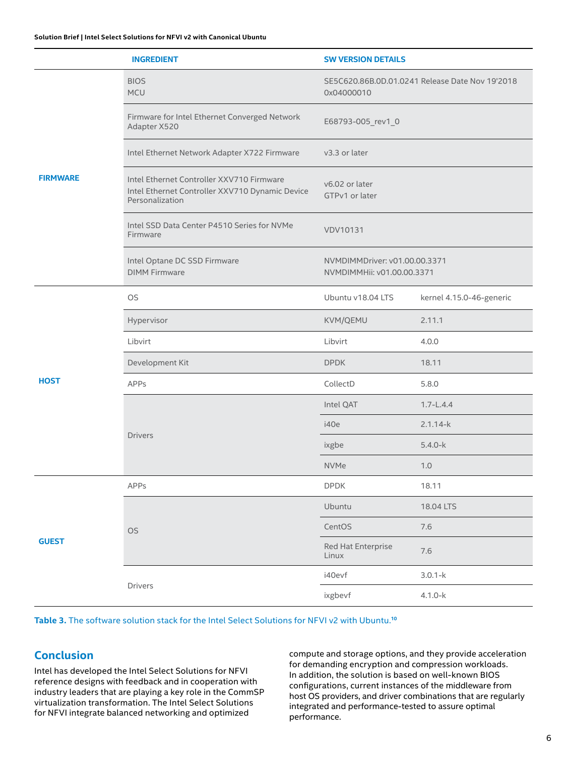| <b>INGREDIENT</b> |                                                                                                                 | <b>SW VERSION DETAILS</b>                                     |                          |  |
|-------------------|-----------------------------------------------------------------------------------------------------------------|---------------------------------------------------------------|--------------------------|--|
| <b>FIRMWARE</b>   | <b>BIOS</b><br>MCU                                                                                              | SE5C620.86B.0D.01.0241 Release Date Nov 19'2018<br>0x04000010 |                          |  |
|                   | Firmware for Intel Ethernet Converged Network<br>Adapter X520                                                   | E68793-005_rev1_0                                             |                          |  |
|                   | Intel Ethernet Network Adapter X722 Firmware                                                                    | v3.3 or later                                                 |                          |  |
|                   | Intel Ethernet Controller XXV710 Firmware<br>Intel Ethernet Controller XXV710 Dynamic Device<br>Personalization | v6.02 or later<br>GTPv1 or later                              |                          |  |
|                   | Intel SSD Data Center P4510 Series for NVMe<br>Firmware                                                         | <b>VDV10131</b>                                               |                          |  |
|                   | Intel Optane DC SSD Firmware<br><b>DIMM Firmware</b>                                                            | NVMDIMMDriver: v01.00.00.3371<br>NVMDIMMHii: v01.00.00.3371   |                          |  |
| <b>HOST</b>       | <b>OS</b>                                                                                                       | Ubuntu v18.04 LTS                                             | kernel 4.15.0-46-generic |  |
|                   | Hypervisor                                                                                                      | KVM/QEMU                                                      | 2.11.1                   |  |
|                   | Libvirt                                                                                                         | Libvirt                                                       | 4.0.0                    |  |
|                   | Development Kit                                                                                                 | <b>DPDK</b>                                                   | 18.11                    |  |
|                   | APPs                                                                                                            | CollectD                                                      | 5.8.0                    |  |
|                   |                                                                                                                 | Intel QAT                                                     | $1.7 - L.4.4$            |  |
|                   | <b>Drivers</b>                                                                                                  | i40e                                                          | $2.1.14-k$               |  |
|                   |                                                                                                                 | ixgbe                                                         | $5.4.0 - k$              |  |
|                   |                                                                                                                 | <b>NVMe</b>                                                   | 1.0                      |  |
| <b>GUEST</b>      | APPs                                                                                                            | <b>DPDK</b>                                                   | 18.11                    |  |
|                   |                                                                                                                 | Ubuntu                                                        | 18.04 LTS                |  |
|                   | OS                                                                                                              | CentOS                                                        | 7.6                      |  |
|                   |                                                                                                                 | Red Hat Enterprise<br>Linux                                   | 7.6                      |  |
|                   |                                                                                                                 | i40evf                                                        | $3.0.1 - k$              |  |
|                   | Drivers                                                                                                         | ixgbevf                                                       | $4.1.0 - k$              |  |

#### **Table 3.** The software solution stack for the Intel Select Solutions for NFVI v2 with Ubuntu.**<sup>10</sup>**

#### **Conclusion**

Intel has developed the Intel Select Solutions for NFVI reference designs with feedback and in cooperation with industry leaders that are playing a key role in the CommSP virtualization transformation. The Intel Select Solutions for NFVI integrate balanced networking and optimized

compute and storage options, and they provide acceleration for demanding encryption and compression workloads. In addition, the solution is based on well-known BIOS configurations, current instances of the middleware from host OS providers, and driver combinations that are regularly integrated and performance-tested to assure optimal performance.